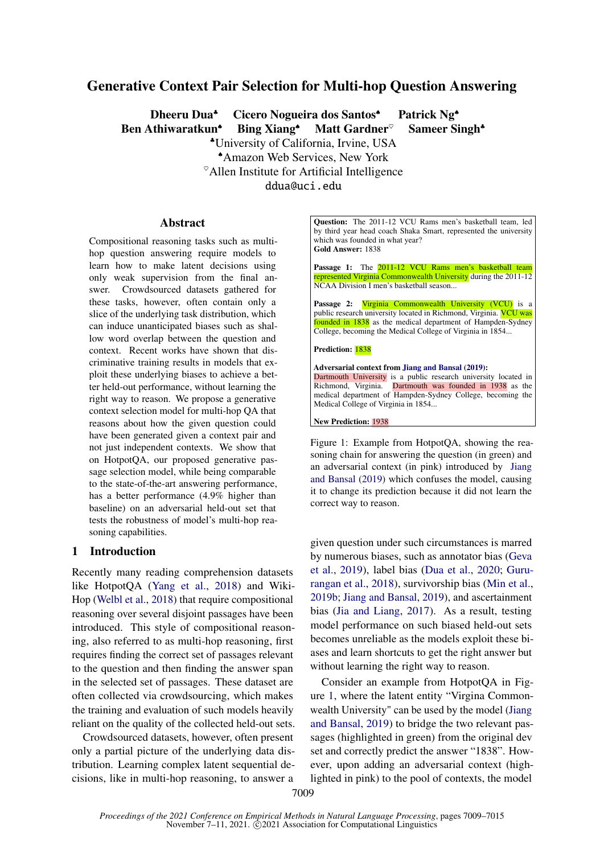# Generative Context Pair Selection for Multi-hop Question Answering

Dheeru Dua<sup>★</sup> Cicero Nogueira dos Santos<sup>◆</sup> Patrick Ng<sup>◆</sup> Ben Athiwaratkun<sup>↓</sup> Bing Xiang<sup>↓</sup> Matt Gardner<sup>®</sup> Sameer Singh<sup>▲</sup> ♣University of California, Irvine, USA ♠Amazon Web Services, New York  $^{\circ}$ Allen Institute for Artificial Intelligence ddua@uci.edu

## **Abstract**

Compositional reasoning tasks such as multihop question answering require models to learn how to make latent decisions using only weak supervision from the final answer. Crowdsourced datasets gathered for these tasks, however, often contain only a slice of the underlying task distribution, which can induce unanticipated biases such as shallow word overlap between the question and context. Recent works have shown that discriminative training results in models that exploit these underlying biases to achieve a better held-out performance, without learning the right way to reason. We propose a generative context selection model for multi-hop QA that reasons about how the given question could have been generated given a context pair and not just independent contexts. We show that on HotpotQA, our proposed generative passage selection model, while being comparable to the state-of-the-art answering performance, has a better performance (4.9% higher than baseline) on an adversarial held-out set that tests the robustness of model's multi-hop reasoning capabilities.

### 1 Introduction

Recently many reading comprehension datasets like HotpotQA [\(Yang et al.,](#page-6-0) [2018\)](#page-6-0) and Wiki-Hop [\(Welbl et al.,](#page-6-1) [2018\)](#page-6-1) that require compositional reasoning over several disjoint passages have been introduced. This style of compositional reasoning, also referred to as multi-hop reasoning, first requires finding the correct set of passages relevant to the question and then finding the answer span in the selected set of passages. These dataset are often collected via crowdsourcing, which makes the training and evaluation of such models heavily reliant on the quality of the collected held-out sets.

Crowdsourced datasets, however, often present only a partial picture of the underlying data distribution. Learning complex latent sequential decisions, like in multi-hop reasoning, to answer a <span id="page-0-0"></span>Question: The 2011-12 VCU Rams men's basketball team, led by third year head coach Shaka Smart, represented the university which was founded in what year? Gold Answer: 1838

Passage 1: The 2011-12 VCU Rams men's basketball team represented Virginia Commonwealth University during the 2011-12 NCAA Division I men's basketball season...

Passage 2: Virginia Commonwealth University (VCU) is a public research university located in Richmond, Virginia. VCU was founded in 1838 as the medical department of Hampden-Sydney College, becoming the Medical College of Virginia in 1854...

#### Prediction: 1838

Adversarial context from [Jiang and Bansal](#page-5-0) [\(2019\)](#page-5-0): Dartmouth University is a public research university located in Richmond, Virginia. Dartmouth was founded in 1938 as the medical department of Hampden-Sydney College, becoming the Medical College of Virginia in 1854...

New Prediction: 1938

Figure 1: Example from HotpotQA, showing the reasoning chain for answering the question (in green) and an adversarial context (in pink) introduced by [Jiang](#page-5-0) [and Bansal](#page-5-0) [\(2019\)](#page-5-0) which confuses the model, causing it to change its prediction because it did not learn the correct way to reason.

given question under such circumstances is marred by numerous biases, such as annotator bias [\(Geva](#page-5-1) [et al.,](#page-5-1) [2019\)](#page-5-1), label bias [\(Dua et al.,](#page-4-0) [2020;](#page-4-0) [Guru](#page-5-2)[rangan et al.,](#page-5-2) [2018\)](#page-5-2), survivorship bias [\(Min et al.,](#page-5-3) [2019b;](#page-5-3) [Jiang and Bansal,](#page-5-0) [2019\)](#page-5-0), and ascertainment bias [\(Jia and Liang,](#page-5-4) [2017\)](#page-5-4). As a result, testing model performance on such biased held-out sets becomes unreliable as the models exploit these biases and learn shortcuts to get the right answer but without learning the right way to reason.

Consider an example from HotpotQA in Figure [1,](#page-0-0) where the latent entity "Virgina Commonwealth University" can be used by the model [\(Jiang](#page-5-0) [and Bansal,](#page-5-0) [2019\)](#page-5-0) to bridge the two relevant passages (highlighted in green) from the original dev set and correctly predict the answer "1838". However, upon adding an adversarial context (highlighted in pink) to the pool of contexts, the model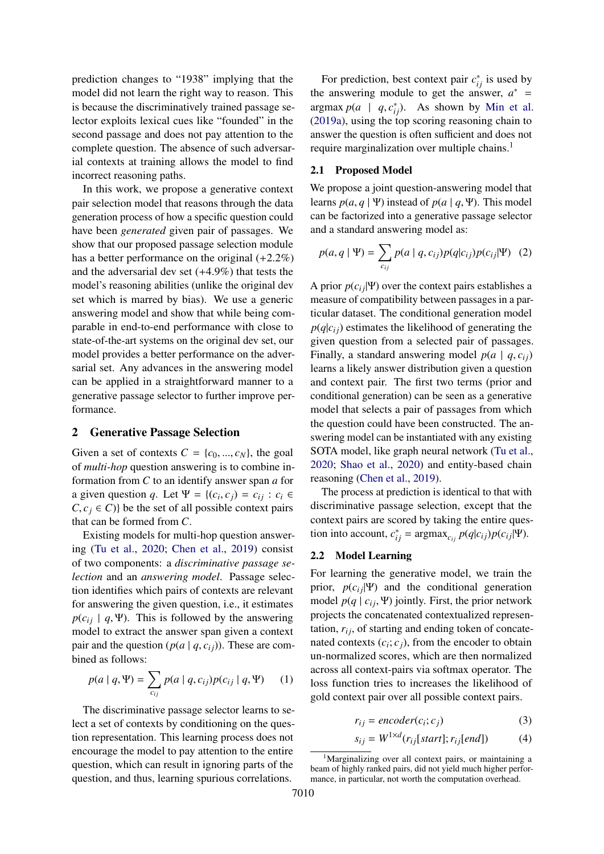prediction changes to "1938" implying that the model did not learn the right way to reason. This is because the discriminatively trained passage selector exploits lexical cues like "founded" in the second passage and does not pay attention to the complete question. The absence of such adversarial contexts at training allows the model to find incorrect reasoning paths.

In this work, we propose a generative context pair selection model that reasons through the data generation process of how a specific question could have been *generated* given pair of passages. We show that our proposed passage selection module has a better performance on the original (+2.2%) and the adversarial dev set (+4.9%) that tests the model's reasoning abilities (unlike the original dev set which is marred by bias). We use a generic answering model and show that while being comparable in end-to-end performance with close to state-of-the-art systems on the original dev set, our model provides a better performance on the adversarial set. Any advances in the answering model can be applied in a straightforward manner to a generative passage selector to further improve performance.

### 2 Generative Passage Selection

Given a set of contexts  $C = \{c_0, ..., c_N\}$ , the goal of *multi-hop* question answering is to combine information from *C* to an identify answer span *a* for a given question *q*. Let  $\Psi = \{(c_i, c_j) = c_{ij} : c_i \in C \mid c \in C\}$  be the set of all possible context pairs  $C, c_j \in C$ } be the set of all possible context pairs that can be formed from *C*.

Existing models for multi-hop question answering [\(Tu et al.,](#page-6-2) [2020;](#page-6-2) [Chen et al.,](#page-4-1) [2019\)](#page-4-1) consist of two components: a *discriminative passage selection* and an *answering model*. Passage selection identifies which pairs of contexts are relevant for answering the given question, i.e., it estimates  $p(c_{ij} | q, \Psi)$ . This is followed by the answering model to extract the answer span given a context pair and the question  $(p(a | q, c_i))$ . These are combined as follows:

$$
p(a | q, \Psi) = \sum_{c_{ij}} p(a | q, c_{ij}) p(c_{ij} | q, \Psi)
$$
 (1)

The discriminative passage selector learns to select a set of contexts by conditioning on the question representation. This learning process does not encourage the model to pay attention to the entire question, which can result in ignoring parts of the question, and thus, learning spurious correlations.

For prediction, best context pair  $c_{ij}^*$  is used by the answering module to get the answer,  $a^*$  = argmax  $p(a \mid q, c_{ij}^*)$ . As shown by [Min et al.](#page-5-5)<br>(2019a), using the top scoring reasoning chain to [\(2019a\)](#page-5-5), using the top scoring reasoning chain to answer the question is often sufficient and does not require marginalization over multiple chains.<sup>[1](#page-1-0)</sup>

### 2.1 Proposed Model

We propose a joint question-answering model that learns  $p(a, q | \Psi)$  instead of  $p(a | q, \Psi)$ . This model can be factorized into a generative passage selector and a standard answering model as:

$$
p(a,q \mid \Psi) = \sum_{c_{ij}} p(a \mid q, c_{ij}) p(q|c_{ij}) p(c_{ij} | \Psi) \quad (2)
$$

A prior  $p(c_{ij}|\Psi)$  over the context pairs establishes a measure of compatibility between passages in a particular dataset. The conditional generation model  $p(q|c_{ij})$  estimates the likelihood of generating the given question from a selected pair of passages. Finally, a standard answering model  $p(a \mid q, c_{ii})$ learns a likely answer distribution given a question and context pair. The first two terms (prior and conditional generation) can be seen as a generative model that selects a pair of passages from which the question could have been constructed. The answering model can be instantiated with any existing SOTA model, like graph neural network [\(Tu et al.,](#page-6-2) [2020;](#page-6-2) [Shao et al.,](#page-6-3) [2020\)](#page-6-3) and entity-based chain reasoning [\(Chen et al.,](#page-4-1) [2019\)](#page-4-1).

The process at prediction is identical to that with discriminative passage selection, except that the context pairs are scored by taking the entire question into account,  $c_{ij}^* = \text{argmax}_{c_{ij}} p(q|c_{ij})p(c_{ij}|\Psi)$ .

### 2.2 Model Learning

For learning the generative model, we train the prior,  $p(c_{ij}|\Psi)$  and the conditional generation model  $p(q \mid c_i, \Psi)$  jointly. First, the prior network projects the concatenated contextualized representation,  $r_{ij}$ , of starting and ending token of concatenated contexts  $(c_i; c_j)$ , from the encoder to obtain un-normalized scores, which are then normalized across all context-pairs via softmax operator. The loss function tries to increases the likelihood of gold context pair over all possible context pairs.

$$
r_{ij} = encoder(c_i; c_j)
$$
 (3)

$$
s_{ij} = W^{1 \times d}(r_{ij}[start]; r_{ij}[end])
$$
 (4)

<span id="page-1-0"></span><sup>&</sup>lt;sup>1</sup>Marginalizing over all context pairs, or maintaining a beam of highly ranked pairs, did not yield much higher performance, in particular, not worth the computation overhead.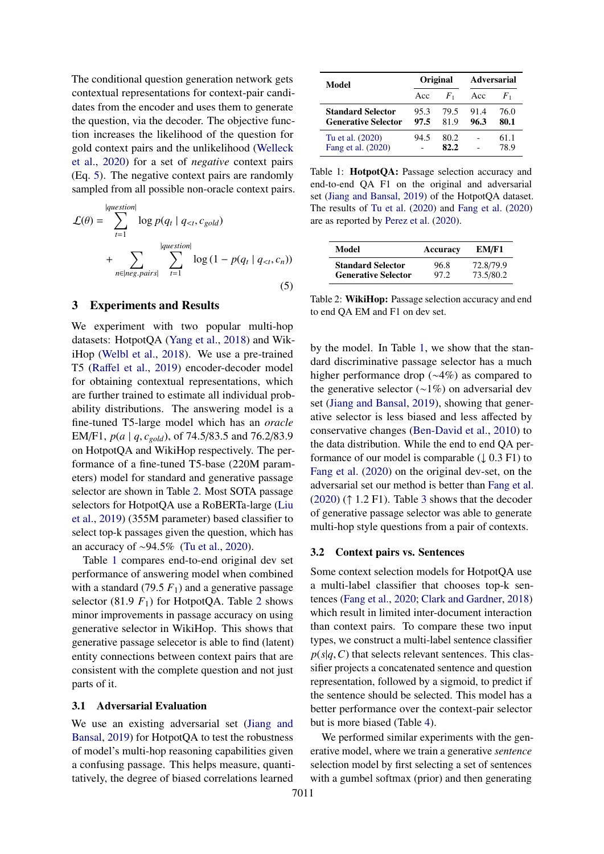The conditional question generation network gets contextual representations for context-pair candidates from the encoder and uses them to generate the question, via the decoder. The objective function increases the likelihood of the question for gold context pairs and the unlikelihood [\(Welleck](#page-6-4) [et al.,](#page-6-4) [2020\)](#page-6-4) for a set of *negative* context pairs (Eq. [5\)](#page-2-0). The negative context pairs are randomly sampled from all possible non-oracle context pairs.

$$
\mathcal{L}(\theta) = \sum_{t=1}^{|question|} \log p(q_t | q_{  
+ 
$$
\sum_{n \in |neg, pairs|} \sum_{t=1}^{|question|} \log (1 - p(q_t | q_{(5)
$$
$$

#### 3 Experiments and Results

We experiment with two popular multi-hop datasets: HotpotQA [\(Yang et al.,](#page-6-0) [2018\)](#page-6-0) and WikiHop [\(Welbl et al.,](#page-6-1) [2018\)](#page-6-1). We use a pre-trained T5 (Raff[el et al.,](#page-6-5) [2019\)](#page-6-5) encoder-decoder model for obtaining contextual representations, which are further trained to estimate all individual probability distributions. The answering model is a fine-tuned T5-large model which has an *oracle* EM/F1, *<sup>p</sup>*(*<sup>a</sup>* <sup>|</sup> *<sup>q</sup>*, *<sup>c</sup>gold*), of 74.5/83.5 and 76.2/83.9 on HotpotQA and WikiHop respectively. The performance of a fine-tuned T5-base (220M parameters) model for standard and generative passage selector are shown in Table [2.](#page-2-1) Most SOTA passage selectors for HotpotQA use a RoBERTa-large [\(Liu](#page-5-6) [et al.,](#page-5-6) [2019\)](#page-5-6) (355M parameter) based classifier to select top-k passages given the question, which has an accuracy of ∼94.5% [\(Tu et al.,](#page-6-2) [2020\)](#page-6-2).

Table [1](#page-2-2) compares end-to-end original dev set performance of answering model when combined with a standard (79.5  $F_1$ ) and a generative passage selector (81.9  $F_1$ ) for HotpotQA. Table [2](#page-2-1) shows minor improvements in passage accuracy on using generative selector in WikiHop. This shows that generative passage selecetor is able to find (latent) entity connections between context pairs that are consistent with the complete question and not just parts of it.

#### 3.1 Adversarial Evaluation

We use an existing adversarial set [\(Jiang and](#page-5-0) [Bansal,](#page-5-0) [2019\)](#page-5-0) for HotpotQA to test the robustness of model's multi-hop reasoning capabilities given a confusing passage. This helps measure, quantitatively, the degree of biased correlations learned

<span id="page-2-2"></span>

| Model                                                  | Original     |              | <b>Adversarial</b> |              |
|--------------------------------------------------------|--------------|--------------|--------------------|--------------|
|                                                        | Acc          | $F_{1}$      | Acc                | $F_{1}$      |
| <b>Standard Selector</b><br><b>Generative Selector</b> | 95.3<br>97.5 | 79.5<br>81.9 | 91.4<br>96.3       | 76.0<br>80.1 |
| Tu et al. (2020)<br>Fang et al. (2020)                 | 94.5         | 80.2<br>82.2 |                    | 61.1<br>78.9 |

Table 1: HotpotQA: Passage selection accuracy and end-to-end QA F1 on the original and adversarial set [\(Jiang and Bansal,](#page-5-0) [2019\)](#page-5-0) of the HotpotQA dataset. The results of [Tu et al.](#page-6-2) [\(2020\)](#page-6-2) and [Fang et al.](#page-4-2) [\(2020\)](#page-4-2) are as reported by [Perez et al.](#page-5-7) [\(2020\)](#page-5-7).

<span id="page-2-1"></span>

| Model                      | Accuracy | EM/F1     |
|----------------------------|----------|-----------|
| <b>Standard Selector</b>   | 96.8     | 72.8/79.9 |
| <b>Generative Selector</b> | 97.2     | 73.5/80.2 |

<span id="page-2-0"></span>Table 2: WikiHop: Passage selection accuracy and end to end QA EM and F1 on dev set.

by the model. In Table [1,](#page-2-2) we show that the standard discriminative passage selector has a much higher performance drop (∼4%) as compared to the generative selector (∼1%) on adversarial dev set [\(Jiang and Bansal,](#page-5-0) [2019\)](#page-5-0), showing that generative selector is less biased and less affected by conservative changes [\(Ben-David et al.,](#page-4-3) [2010\)](#page-4-3) to the data distribution. While the end to end QA performance of our model is comparable  $(1\ 0.3\ F1)$  to [Fang et al.](#page-4-2) [\(2020\)](#page-4-2) on the original dev-set, on the adversarial set our method is better than [Fang et al.](#page-4-2)  $(2020)$  ( $\uparrow$  1.2 F1). Table [3](#page-3-0) shows that the decoder of generative passage selector was able to generate multi-hop style questions from a pair of contexts.

#### 3.2 Context pairs vs. Sentences

Some context selection models for HotpotQA use a multi-label classifier that chooses top-k sentences [\(Fang et al.,](#page-4-2) [2020;](#page-4-2) [Clark and Gardner,](#page-4-4) [2018\)](#page-4-4) which result in limited inter-document interaction than context pairs. To compare these two input types, we construct a multi-label sentence classifier  $p(s|q, C)$  that selects relevant sentences. This classifier projects a concatenated sentence and question representation, followed by a sigmoid, to predict if the sentence should be selected. This model has a better performance over the context-pair selector but is more biased (Table [4\)](#page-3-1).

We performed similar experiments with the generative model, where we train a generative *sentence* selection model by first selecting a set of sentences with a gumbel softmax (prior) and then generating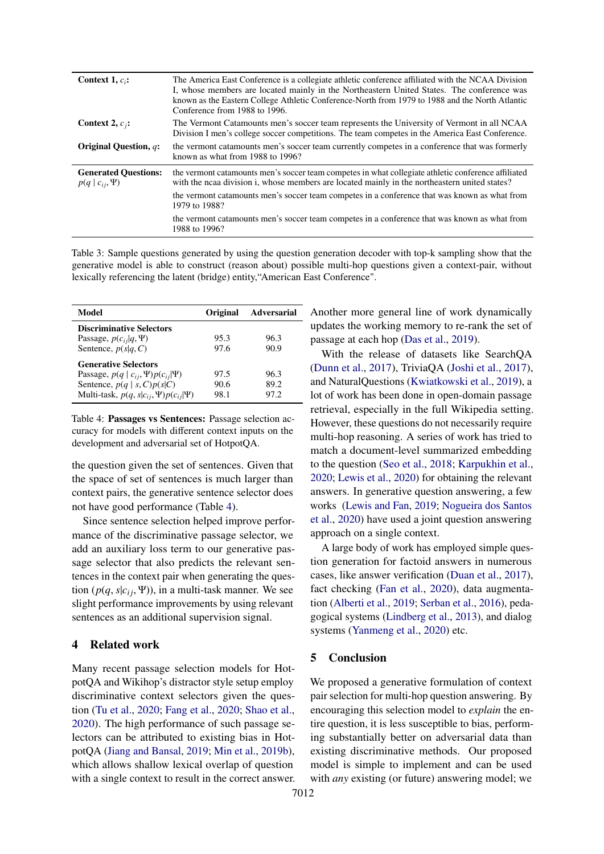<span id="page-3-0"></span>

| Context 1, $c_i$ :                                      | The America East Conference is a collegiate athletic conference affiliated with the NCAA Division<br>I, whose members are located mainly in the Northeastern United States. The conference was<br>known as the Eastern College Athletic Conference-North from 1979 to 1988 and the North Atlantic<br>Conference from 1988 to 1996. |
|---------------------------------------------------------|------------------------------------------------------------------------------------------------------------------------------------------------------------------------------------------------------------------------------------------------------------------------------------------------------------------------------------|
| Context 2, $c_i$ :                                      | The Vermont Catamounts men's soccer team represents the University of Vermont in all NCAA<br>Division I men's college soccer competitions. The team competes in the America East Conference.                                                                                                                                       |
| Original Question, q:                                   | the vermont catamounts men's soccer team currently competes in a conference that was formerly<br>known as what from 1988 to 1996?                                                                                                                                                                                                  |
| <b>Generated Ouestions:</b><br>$p(q \mid c_{ij}, \Psi)$ | the vermont catamounts men's soccer team competes in what collegiate athletic conference affiliated<br>with the ncaa division i, whose members are located mainly in the northeastern united states?<br>the vermont catamounts men's soccer team competes in a conference that was known as what from<br>1979 to 1988?             |
|                                                         | the vermont catamounts men's soccer team competes in a conference that was known as what from<br>1988 to 1996?                                                                                                                                                                                                                     |

Table 3: Sample questions generated by using the question generation decoder with top-k sampling show that the generative model is able to construct (reason about) possible multi-hop questions given a context-pair, without lexically referencing the latent (bridge) entity,"American East Conference".

<span id="page-3-1"></span>

| Model                                            | Original | <b>Adversarial</b> |
|--------------------------------------------------|----------|--------------------|
| <b>Discriminative Selectors</b>                  |          |                    |
| Passage, $p(c_{ii} q, \Psi)$                     | 95.3     | 96.3               |
| Sentence, $p(s q, C)$                            | 97.6     | 90.9               |
| <b>Generative Selectors</b>                      |          |                    |
| Passage, $p(q   c_{ij}, \Psi)p(c_{ij} \Psi)$     | 97.5     | 96.3               |
| Sentence, $p(q   s, C)p(s C)$                    | 90.6     | 89.2               |
| Multi-task, $p(q, s c_{ii}, \Psi)p(c_{ii} \Psi)$ | 98.1     | 97.2               |
|                                                  |          |                    |

Table 4: Passages vs Sentences: Passage selection accuracy for models with different context inputs on the development and adversarial set of HotpotQA.

the question given the set of sentences. Given that the space of set of sentences is much larger than context pairs, the generative sentence selector does not have good performance (Table [4\)](#page-3-1).

Since sentence selection helped improve performance of the discriminative passage selector, we add an auxiliary loss term to our generative passage selector that also predicts the relevant sentences in the context pair when generating the question  $(p(q, s|c_i, \Psi))$ , in a multi-task manner. We see slight performance improvements by using relevant sentences as an additional supervision signal.

# 4 Related work

Many recent passage selection models for HotpotQA and Wikihop's distractor style setup employ discriminative context selectors given the question [\(Tu et al.,](#page-6-2) [2020;](#page-6-2) [Fang et al.,](#page-4-2) [2020;](#page-4-2) [Shao et al.,](#page-6-3) [2020\)](#page-6-3). The high performance of such passage selectors can be attributed to existing bias in HotpotQA [\(Jiang and Bansal,](#page-5-0) [2019;](#page-5-0) [Min et al.,](#page-5-3) [2019b\)](#page-5-3), which allows shallow lexical overlap of question with a single context to result in the correct answer. Another more general line of work dynamically updates the working memory to re-rank the set of passage at each hop [\(Das et al.,](#page-4-5) [2019\)](#page-4-5).

With the release of datasets like SearchQA [\(Dunn et al.,](#page-4-6) [2017\)](#page-4-6), TriviaQA [\(Joshi et al.,](#page-5-8) [2017\)](#page-5-8), and NaturalQuestions [\(Kwiatkowski et al.,](#page-5-9) [2019\)](#page-5-9), a lot of work has been done in open-domain passage retrieval, especially in the full Wikipedia setting. However, these questions do not necessarily require multi-hop reasoning. A series of work has tried to match a document-level summarized embedding to the question [\(Seo et al.,](#page-6-6) [2018;](#page-6-6) [Karpukhin et al.,](#page-5-10) [2020;](#page-5-10) [Lewis et al.,](#page-5-11) [2020\)](#page-5-11) for obtaining the relevant answers. In generative question answering, a few works [\(Lewis and Fan,](#page-5-12) [2019;](#page-5-12) [Nogueira dos Santos](#page-5-13) [et al.,](#page-5-13) [2020\)](#page-5-13) have used a joint question answering approach on a single context.

A large body of work has employed simple question generation for factoid answers in numerous cases, like answer verification [\(Duan et al.,](#page-4-7) [2017\)](#page-4-7), fact checking [\(Fan et al.,](#page-4-8) [2020\)](#page-4-8), data augmentation [\(Alberti et al.,](#page-4-9) [2019;](#page-4-9) [Serban et al.,](#page-6-7) [2016\)](#page-6-7), pedagogical systems [\(Lindberg et al.,](#page-5-14) [2013\)](#page-5-14), and dialog systems [\(Yanmeng et al.,](#page-6-8) [2020\)](#page-6-8) etc.

### 5 Conclusion

We proposed a generative formulation of context pair selection for multi-hop question answering. By encouraging this selection model to *explain* the entire question, it is less susceptible to bias, performing substantially better on adversarial data than existing discriminative methods. Our proposed model is simple to implement and can be used with *any* existing (or future) answering model; we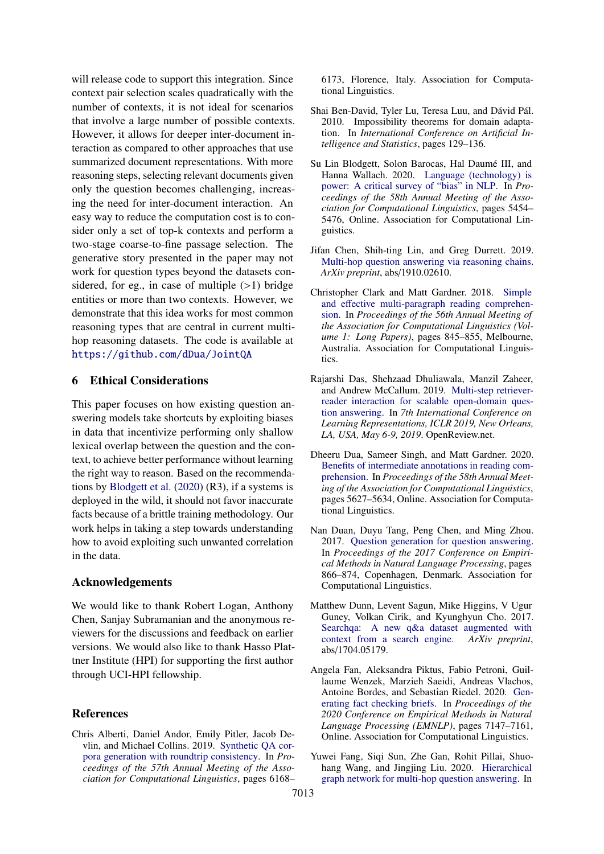will release code to support this integration. Since context pair selection scales quadratically with the number of contexts, it is not ideal for scenarios that involve a large number of possible contexts. However, it allows for deeper inter-document interaction as compared to other approaches that use summarized document representations. With more reasoning steps, selecting relevant documents given only the question becomes challenging, increasing the need for inter-document interaction. An easy way to reduce the computation cost is to consider only a set of top-k contexts and perform a two-stage coarse-to-fine passage selection. The generative story presented in the paper may not work for question types beyond the datasets considered, for eg., in case of multiple  $(>1)$  bridge entities or more than two contexts. However, we demonstrate that this idea works for most common reasoning types that are central in current multihop reasoning datasets. The code is available at <https://github.com/dDua/JointQA>

## 6 Ethical Considerations

This paper focuses on how existing question answering models take shortcuts by exploiting biases in data that incentivize performing only shallow lexical overlap between the question and the context, to achieve better performance without learning the right way to reason. Based on the recommendations by [Blodgett et al.](#page-4-10) [\(2020\)](#page-4-10) (R3), if a systems is deployed in the wild, it should not favor inaccurate facts because of a brittle training methodology. Our work helps in taking a step towards understanding how to avoid exploiting such unwanted correlation in the data.

### Acknowledgements

We would like to thank Robert Logan, Anthony Chen, Sanjay Subramanian and the anonymous reviewers for the discussions and feedback on earlier versions. We would also like to thank Hasso Plattner Institute (HPI) for supporting the first author through UCI-HPI fellowship.

### References

<span id="page-4-9"></span>Chris Alberti, Daniel Andor, Emily Pitler, Jacob Devlin, and Michael Collins. 2019. [Synthetic QA cor](https://doi.org/10.18653/v1/P19-1620)[pora generation with roundtrip consistency.](https://doi.org/10.18653/v1/P19-1620) In *Proceedings of the 57th Annual Meeting of the Association for Computational Linguistics*, pages 6168– 6173, Florence, Italy. Association for Computational Linguistics.

- <span id="page-4-3"></span>Shai Ben-David, Tyler Lu, Teresa Luu, and Dávid Pál. 2010. Impossibility theorems for domain adaptation. In *International Conference on Artificial Intelligence and Statistics*, pages 129–136.
- <span id="page-4-10"></span>Su Lin Blodgett, Solon Barocas, Hal Daumé III, and Hanna Wallach. 2020. [Language \(technology\) is](https://doi.org/10.18653/v1/2020.acl-main.485) [power: A critical survey of "bias" in NLP.](https://doi.org/10.18653/v1/2020.acl-main.485) In *Proceedings of the 58th Annual Meeting of the Association for Computational Linguistics*, pages 5454– 5476, Online. Association for Computational Linguistics.
- <span id="page-4-1"></span>Jifan Chen, Shih-ting Lin, and Greg Durrett. 2019. [Multi-hop question answering via reasoning chains.](https://arxiv.org/abs/1910.02610) *ArXiv preprint*, abs/1910.02610.
- <span id="page-4-4"></span>Christopher Clark and Matt Gardner. 2018. [Simple](https://doi.org/10.18653/v1/P18-1078) and eff[ective multi-paragraph reading comprehen](https://doi.org/10.18653/v1/P18-1078)[sion.](https://doi.org/10.18653/v1/P18-1078) In *Proceedings of the 56th Annual Meeting of the Association for Computational Linguistics (Volume 1: Long Papers)*, pages 845–855, Melbourne, Australia. Association for Computational Linguistics.
- <span id="page-4-5"></span>Rajarshi Das, Shehzaad Dhuliawala, Manzil Zaheer, and Andrew McCallum. 2019. [Multi-step retriever](https://openreview.net/forum?id=HkfPSh05K7)[reader interaction for scalable open-domain ques](https://openreview.net/forum?id=HkfPSh05K7)[tion answering.](https://openreview.net/forum?id=HkfPSh05K7) In *7th International Conference on Learning Representations, ICLR 2019, New Orleans, LA, USA, May 6-9, 2019*. OpenReview.net.
- <span id="page-4-0"></span>Dheeru Dua, Sameer Singh, and Matt Gardner. 2020. [Benefits of intermediate annotations in reading com](https://doi.org/10.18653/v1/2020.acl-main.497)[prehension.](https://doi.org/10.18653/v1/2020.acl-main.497) In *Proceedings of the 58th Annual Meeting of the Association for Computational Linguistics*, pages 5627–5634, Online. Association for Computational Linguistics.
- <span id="page-4-7"></span>Nan Duan, Duyu Tang, Peng Chen, and Ming Zhou. 2017. [Question generation for question answering.](https://doi.org/10.18653/v1/D17-1090) In *Proceedings of the 2017 Conference on Empirical Methods in Natural Language Processing*, pages 866–874, Copenhagen, Denmark. Association for Computational Linguistics.
- <span id="page-4-6"></span>Matthew Dunn, Levent Sagun, Mike Higgins, V Ugur Guney, Volkan Cirik, and Kyunghyun Cho. 2017. [Searchqa: A new q&a dataset augmented with](https://arxiv.org/abs/1704.05179) [context from a search engine.](https://arxiv.org/abs/1704.05179) *ArXiv preprint*, abs/1704.05179.
- <span id="page-4-8"></span>Angela Fan, Aleksandra Piktus, Fabio Petroni, Guillaume Wenzek, Marzieh Saeidi, Andreas Vlachos, Antoine Bordes, and Sebastian Riedel. 2020. [Gen](https://doi.org/10.18653/v1/2020.emnlp-main.580)[erating fact checking briefs.](https://doi.org/10.18653/v1/2020.emnlp-main.580) In *Proceedings of the 2020 Conference on Empirical Methods in Natural Language Processing (EMNLP)*, pages 7147–7161, Online. Association for Computational Linguistics.
- <span id="page-4-2"></span>Yuwei Fang, Siqi Sun, Zhe Gan, Rohit Pillai, Shuohang Wang, and Jingjing Liu. 2020. [Hierarchical](https://doi.org/10.18653/v1/2020.emnlp-main.710) [graph network for multi-hop question answering.](https://doi.org/10.18653/v1/2020.emnlp-main.710) In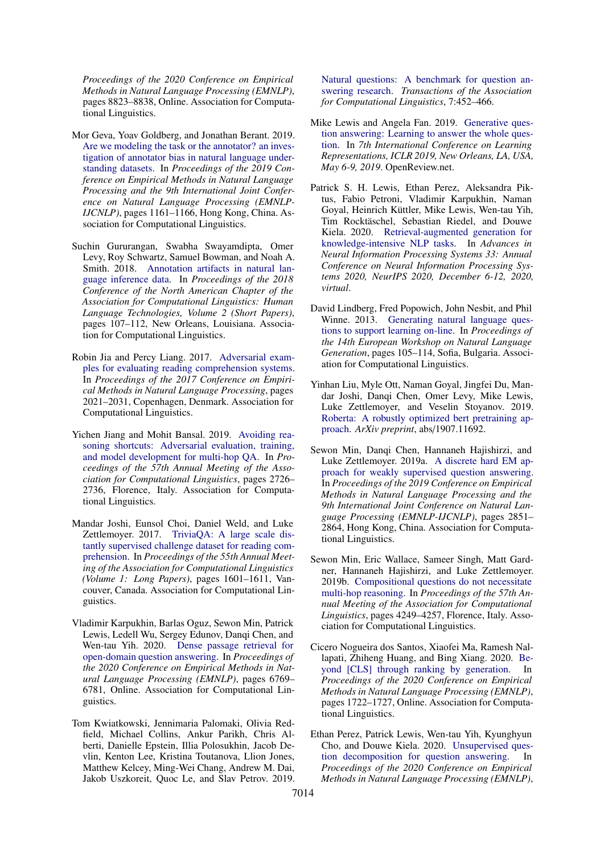*Proceedings of the 2020 Conference on Empirical Methods in Natural Language Processing (EMNLP)*, pages 8823–8838, Online. Association for Computational Linguistics.

- <span id="page-5-1"></span>Mor Geva, Yoav Goldberg, and Jonathan Berant. 2019. [Are we modeling the task or the annotator? an inves](https://doi.org/10.18653/v1/D19-1107)[tigation of annotator bias in natural language under](https://doi.org/10.18653/v1/D19-1107)[standing datasets.](https://doi.org/10.18653/v1/D19-1107) In *Proceedings of the 2019 Conference on Empirical Methods in Natural Language Processing and the 9th International Joint Conference on Natural Language Processing (EMNLP-IJCNLP)*, pages 1161–1166, Hong Kong, China. Association for Computational Linguistics.
- <span id="page-5-2"></span>Suchin Gururangan, Swabha Swayamdipta, Omer Levy, Roy Schwartz, Samuel Bowman, and Noah A. Smith. 2018. [Annotation artifacts in natural lan](https://doi.org/10.18653/v1/N18-2017)[guage inference data.](https://doi.org/10.18653/v1/N18-2017) In *Proceedings of the 2018 Conference of the North American Chapter of the Association for Computational Linguistics: Human Language Technologies, Volume 2 (Short Papers)*, pages 107–112, New Orleans, Louisiana. Association for Computational Linguistics.
- <span id="page-5-4"></span>Robin Jia and Percy Liang. 2017. [Adversarial exam](https://doi.org/10.18653/v1/D17-1215)[ples for evaluating reading comprehension systems.](https://doi.org/10.18653/v1/D17-1215) In *Proceedings of the 2017 Conference on Empirical Methods in Natural Language Processing*, pages 2021–2031, Copenhagen, Denmark. Association for Computational Linguistics.
- <span id="page-5-0"></span>Yichen Jiang and Mohit Bansal. 2019. [Avoiding rea](https://doi.org/10.18653/v1/P19-1262)[soning shortcuts: Adversarial evaluation, training,](https://doi.org/10.18653/v1/P19-1262) [and model development for multi-hop QA.](https://doi.org/10.18653/v1/P19-1262) In *Proceedings of the 57th Annual Meeting of the Association for Computational Linguistics*, pages 2726– 2736, Florence, Italy. Association for Computational Linguistics.
- <span id="page-5-8"></span>Mandar Joshi, Eunsol Choi, Daniel Weld, and Luke Zettlemoyer. 2017. [TriviaQA: A large scale dis](https://doi.org/10.18653/v1/P17-1147)[tantly supervised challenge dataset for reading com](https://doi.org/10.18653/v1/P17-1147)[prehension.](https://doi.org/10.18653/v1/P17-1147) In *Proceedings of the 55th Annual Meeting of the Association for Computational Linguistics (Volume 1: Long Papers)*, pages 1601–1611, Vancouver, Canada. Association for Computational Linguistics.
- <span id="page-5-10"></span>Vladimir Karpukhin, Barlas Oguz, Sewon Min, Patrick Lewis, Ledell Wu, Sergey Edunov, Danqi Chen, and Wen-tau Yih. 2020. [Dense passage retrieval for](https://doi.org/10.18653/v1/2020.emnlp-main.550) [open-domain question answering.](https://doi.org/10.18653/v1/2020.emnlp-main.550) In *Proceedings of the 2020 Conference on Empirical Methods in Natural Language Processing (EMNLP)*, pages 6769– 6781, Online. Association for Computational Linguistics.
- <span id="page-5-9"></span>Tom Kwiatkowski, Jennimaria Palomaki, Olivia Redfield, Michael Collins, Ankur Parikh, Chris Alberti, Danielle Epstein, Illia Polosukhin, Jacob Devlin, Kenton Lee, Kristina Toutanova, Llion Jones, Matthew Kelcey, Ming-Wei Chang, Andrew M. Dai, Jakob Uszkoreit, Quoc Le, and Slav Petrov. 2019.

[Natural questions: A benchmark for question an](https://doi.org/10.1162/tacl_a_00276)[swering research.](https://doi.org/10.1162/tacl_a_00276) *Transactions of the Association for Computational Linguistics*, 7:452–466.

- <span id="page-5-12"></span>Mike Lewis and Angela Fan. 2019. [Generative ques](https://openreview.net/forum?id=Bkx0RjA9tX)[tion answering: Learning to answer the whole ques](https://openreview.net/forum?id=Bkx0RjA9tX)[tion.](https://openreview.net/forum?id=Bkx0RjA9tX) In *7th International Conference on Learning Representations, ICLR 2019, New Orleans, LA, USA, May 6-9, 2019*. OpenReview.net.
- <span id="page-5-11"></span>Patrick S. H. Lewis, Ethan Perez, Aleksandra Piktus, Fabio Petroni, Vladimir Karpukhin, Naman Goyal, Heinrich Küttler, Mike Lewis, Wen-tau Yih, Tim Rocktäschel, Sebastian Riedel, and Douwe Kiela. 2020. [Retrieval-augmented generation for](https://proceedings.neurips.cc/paper/2020/hash/6b493230205f780e1bc26945df7481e5-Abstract.html) [knowledge-intensive NLP tasks.](https://proceedings.neurips.cc/paper/2020/hash/6b493230205f780e1bc26945df7481e5-Abstract.html) In *Advances in Neural Information Processing Systems 33: Annual Conference on Neural Information Processing Systems 2020, NeurIPS 2020, December 6-12, 2020, virtual*.
- <span id="page-5-14"></span>David Lindberg, Fred Popowich, John Nesbit, and Phil Winne. 2013. [Generating natural language ques](https://aclanthology.org/W13-2114)[tions to support learning on-line.](https://aclanthology.org/W13-2114) In *Proceedings of the 14th European Workshop on Natural Language Generation*, pages 105–114, Sofia, Bulgaria. Association for Computational Linguistics.
- <span id="page-5-6"></span>Yinhan Liu, Myle Ott, Naman Goyal, Jingfei Du, Mandar Joshi, Danqi Chen, Omer Levy, Mike Lewis, Luke Zettlemoyer, and Veselin Stoyanov. 2019. [Roberta: A robustly optimized bert pretraining ap](https://arxiv.org/abs/1907.11692)[proach.](https://arxiv.org/abs/1907.11692) *ArXiv preprint*, abs/1907.11692.
- <span id="page-5-5"></span>Sewon Min, Danqi Chen, Hannaneh Hajishirzi, and Luke Zettlemoyer. 2019a. [A discrete hard EM ap](https://doi.org/10.18653/v1/D19-1284)[proach for weakly supervised question answering.](https://doi.org/10.18653/v1/D19-1284) In *Proceedings of the 2019 Conference on Empirical Methods in Natural Language Processing and the 9th International Joint Conference on Natural Language Processing (EMNLP-IJCNLP)*, pages 2851– 2864, Hong Kong, China. Association for Computational Linguistics.
- <span id="page-5-3"></span>Sewon Min, Eric Wallace, Sameer Singh, Matt Gardner, Hannaneh Hajishirzi, and Luke Zettlemoyer. 2019b. [Compositional questions do not necessitate](https://doi.org/10.18653/v1/P19-1416) [multi-hop reasoning.](https://doi.org/10.18653/v1/P19-1416) In *Proceedings of the 57th Annual Meeting of the Association for Computational Linguistics*, pages 4249–4257, Florence, Italy. Association for Computational Linguistics.
- <span id="page-5-13"></span>Cicero Nogueira dos Santos, Xiaofei Ma, Ramesh Nallapati, Zhiheng Huang, and Bing Xiang. 2020. [Be](https://doi.org/10.18653/v1/2020.emnlp-main.134)[yond \[CLS\] through ranking by generation.](https://doi.org/10.18653/v1/2020.emnlp-main.134) In *Proceedings of the 2020 Conference on Empirical Methods in Natural Language Processing (EMNLP)*, pages 1722–1727, Online. Association for Computational Linguistics.
- <span id="page-5-7"></span>Ethan Perez, Patrick Lewis, Wen-tau Yih, Kyunghyun Cho, and Douwe Kiela. 2020. [Unsupervised ques](https://doi.org/10.18653/v1/2020.emnlp-main.713)[tion decomposition for question answering.](https://doi.org/10.18653/v1/2020.emnlp-main.713) In *Proceedings of the 2020 Conference on Empirical Methods in Natural Language Processing (EMNLP)*,